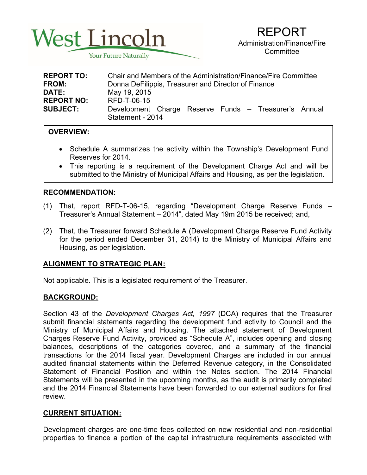

| <b>REPORT TO:</b> | Chair and Members of the Administration/Finance/Fire Committee            |
|-------------------|---------------------------------------------------------------------------|
| <b>FROM:</b>      | Donna DeFilippis, Treasurer and Director of Finance                       |
| <b>DATE:</b>      | May 19, 2015                                                              |
| <b>REPORT NO:</b> | RFD-T-06-15                                                               |
| <b>SUBJECT:</b>   | Development Charge Reserve Funds - Treasurer's Annual<br>Statement - 2014 |

## **OVERVIEW:**

- Schedule A summarizes the activity within the Township's Development Fund Reserves for 2014.
- This reporting is a requirement of the Development Charge Act and will be submitted to the Ministry of Municipal Affairs and Housing, as per the legislation.

## **RECOMMENDATION:**

- (1) That, report RFD-T-06-15, regarding "Development Charge Reserve Funds Treasurer's Annual Statement – 2014", dated May 19m 2015 be received; and,
- (2) That, the Treasurer forward Schedule A (Development Charge Reserve Fund Activity for the period ended December 31, 2014) to the Ministry of Municipal Affairs and Housing, as per legislation.

## **ALIGNMENT TO STRATEGIC PLAN:**

Not applicable. This is a legislated requirement of the Treasurer.

## **BACKGROUND:**

Section 43 of the *Development Charges Act, 1997* (DCA) requires that the Treasurer submit financial statements regarding the development fund activity to Council and the Ministry of Municipal Affairs and Housing. The attached statement of Development Charges Reserve Fund Activity, provided as "Schedule A", includes opening and closing balances, descriptions of the categories covered, and a summary of the financial transactions for the 2014 fiscal year. Development Charges are included in our annual audited financial statements within the Deferred Revenue category, in the Consolidated Statement of Financial Position and within the Notes section. The 2014 Financial Statements will be presented in the upcoming months, as the audit is primarily completed and the 2014 Financial Statements have been forwarded to our external auditors for final review.

# **CURRENT SITUATION:**

Development charges are one-time fees collected on new residential and non-residential properties to finance a portion of the capital infrastructure requirements associated with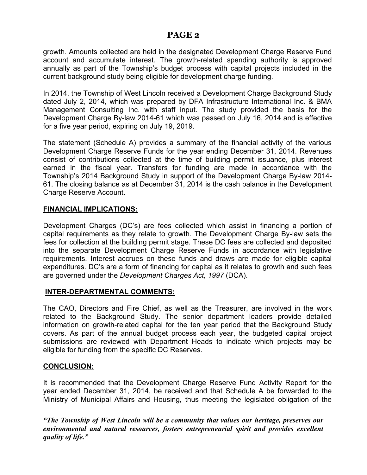growth. Amounts collected are held in the designated Development Charge Reserve Fund account and accumulate interest. The growth-related spending authority is approved annually as part of the Township's budget process with capital projects included in the current background study being eligible for development charge funding.

In 2014, the Township of West Lincoln received a Development Charge Background Study dated July 2, 2014, which was prepared by DFA Infrastructure International Inc. & BMA Management Consulting Inc. with staff input. The study provided the basis for the Development Charge By-law 2014-61 which was passed on July 16, 2014 and is effective for a five year period, expiring on July 19, 2019.

The statement (Schedule A) provides a summary of the financial activity of the various Development Charge Reserve Funds for the year ending December 31, 2014. Revenues consist of contributions collected at the time of building permit issuance, plus interest earned in the fiscal year. Transfers for funding are made in accordance with the Township's 2014 Background Study in support of the Development Charge By-law 2014- 61. The closing balance as at December 31, 2014 is the cash balance in the Development Charge Reserve Account.

#### **FINANCIAL IMPLICATIONS:**

Development Charges (DC's) are fees collected which assist in financing a portion of capital requirements as they relate to growth. The Development Charge By-law sets the fees for collection at the building permit stage. These DC fees are collected and deposited into the separate Development Charge Reserve Funds in accordance with legislative requirements. Interest accrues on these funds and draws are made for eligible capital expenditures. DC's are a form of financing for capital as it relates to growth and such fees are governed under the *Development Charges Act, 1997* (DCA).

## **INTER-DEPARTMENTAL COMMENTS:**

The CAO, Directors and Fire Chief, as well as the Treasurer, are involved in the work related to the Background Study. The senior department leaders provide detailed information on growth-related capital for the ten year period that the Background Study covers. As part of the annual budget process each year, the budgeted capital project submissions are reviewed with Department Heads to indicate which projects may be eligible for funding from the specific DC Reserves.

## **CONCLUSION:**

It is recommended that the Development Charge Reserve Fund Activity Report for the year ended December 31, 2014, be received and that Schedule A be forwarded to the Ministry of Municipal Affairs and Housing, thus meeting the legislated obligation of the

*"The Township of West Lincoln will be a community that values our heritage, preserves our environmental and natural resources, fosters entrepreneurial spirit and provides excellent quality of life."*